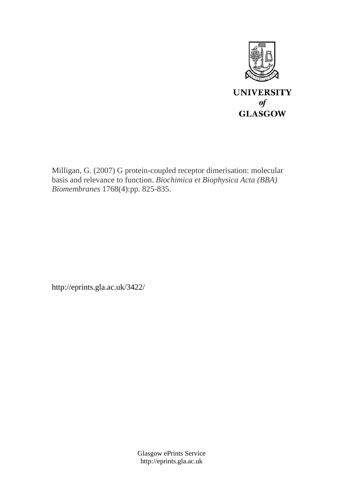

Milligan, G. (2007) G protein-coupled receptor dimerisation: molecular basis and relevance to function. *Biochimica et Biophysica Acta (BBA) Biomembranes* 1768(4):pp. 825-835.

http://eprints.gla.ac.uk/3422/

Glasgow ePrints Service http://eprints.gla.ac.uk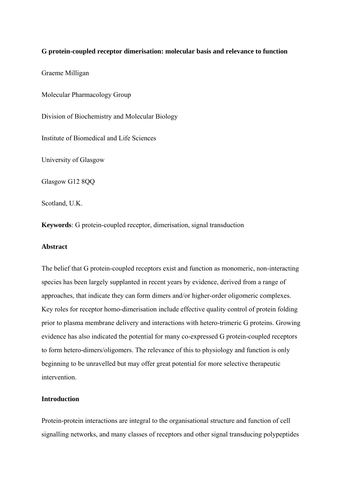## **G protein-coupled receptor dimerisation: molecular basis and relevance to function**

Graeme Milligan

Molecular Pharmacology Group

Division of Biochemistry and Molecular Biology

Institute of Biomedical and Life Sciences

University of Glasgow

Glasgow G12 8QQ

Scotland, U.K.

**Keywords**: G protein-coupled receptor, dimerisation, signal transduction

#### **Abstract**

The belief that G protein-coupled receptors exist and function as monomeric, non-interacting species has been largely supplanted in recent years by evidence, derived from a range of approaches, that indicate they can form dimers and/or higher-order oligomeric complexes. Key roles for receptor homo-dimerisation include effective quality control of protein folding prior to plasma membrane delivery and interactions with hetero-trimeric G proteins. Growing evidence has also indicated the potential for many co-expressed G protein-coupled receptors to form hetero-dimers/oligomers. The relevance of this to physiology and function is only beginning to be unravelled but may offer great potential for more selective therapeutic intervention.

## **Introduction**

Protein-protein interactions are integral to the organisational structure and function of cell signalling networks, and many classes of receptors and other signal transducing polypeptides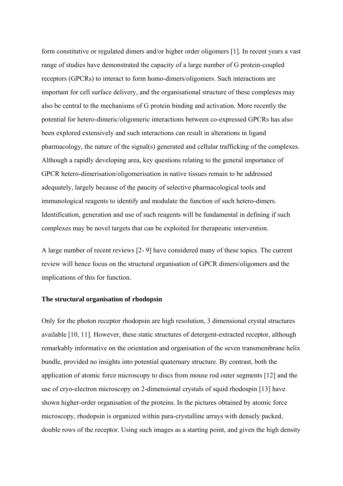form constitutive or regulated dimers and/or higher order oligomers [1]. In recent years a vast range of studies have demonstrated the capacity of a large number of G protein-coupled receptors (GPCRs) to interact to form homo-dimers/oligomers. Such interactions are important for cell surface delivery, and the organisational structure of these complexes may also be central to the mechanisms of G protein binding and activation. More recently the potential for hetero-dimeric/oligomeric interactions between co-expressed GPCRs has also been explored extensively and such interactions can result in alterations in ligand pharmacology, the nature of the signal(s) generated and cellular trafficking of the complexes. Although a rapidly developing area, key questions relating to the general importance of GPCR hetero-dimerisation/oligomerisation in native tissues remain to be addressed adequately, largely because of the paucity of selective pharmacological tools and immunological reagents to identify and modulate the function of such hetero-dimers. Identification, generation and use of such reagents will be fundamental in defining if such complexes may be novel targets that can be exploited for therapeutic intervention.

A large number of recent reviews [2- 9] have considered many of these topics. The current review will hence focus on the structural organisation of GPCR dimers/oligomers and the implications of this for function.

#### **The structural organisation of rhodopsin**

Only for the photon receptor rhodopsin are high resolution, 3 dimensional crystal structures available [10, 11]. However, these static structures of detergent-extracted receptor, although remarkably informative on the orientation and organisation of the seven transmembrane helix bundle, provided no insights into potential quaternary structure. By contrast, both the application of atomic force microscopy to discs from mouse rod outer segments [12] and the use of cryo-electron microscopy on 2-dimensional crystals of squid rhodospin [13] have shown higher-order organisation of the proteins. In the pictures obtained by atomic force microscopy, rhodopsin is organized within para-crystalline arrays with densely packed, double rows of the receptor. Using such images as a starting point, and given the high density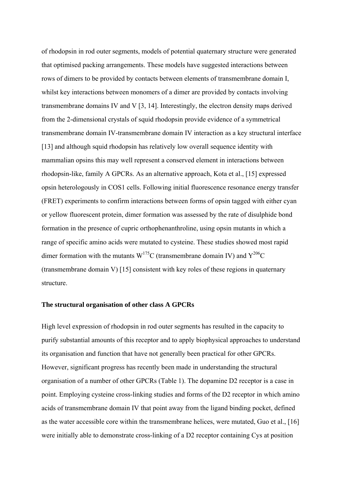of rhodopsin in rod outer segments, models of potential quaternary structure were generated that optimised packing arrangements. These models have suggested interactions between rows of dimers to be provided by contacts between elements of transmembrane domain I, whilst key interactions between monomers of a dimer are provided by contacts involving transmembrane domains IV and V [3, 14]. Interestingly, the electron density maps derived from the 2-dimensional crystals of squid rhodopsin provide evidence of a symmetrical transmembrane domain IV-transmembrane domain IV interaction as a key structural interface [13] and although squid rhodopsin has relatively low overall sequence identity with mammalian opsins this may well represent a conserved element in interactions between rhodopsin-like, family A GPCRs. As an alternative approach, Kota et al., [15] expressed opsin heterologously in COS1 cells. Following initial fluorescence resonance energy transfer (FRET) experiments to confirm interactions between forms of opsin tagged with either cyan or yellow fluorescent protein, dimer formation was assessed by the rate of disulphide bond formation in the presence of cupric orthophenanthroline, using opsin mutants in which a range of specific amino acids were mutated to cysteine. These studies showed most rapid dimer formation with the mutants  $W^{175}C$  (transmembrane domain IV) and  $Y^{206}C$ (transmembrane domain V) [15] consistent with key roles of these regions in quaternary structure.

#### **The structural organisation of other class A GPCRs**

High level expression of rhodopsin in rod outer segments has resulted in the capacity to purify substantial amounts of this receptor and to apply biophysical approaches to understand its organisation and function that have not generally been practical for other GPCRs. However, significant progress has recently been made in understanding the structural organisation of a number of other GPCRs (Table 1). The dopamine D2 receptor is a case in point. Employing cysteine cross-linking studies and forms of the D2 receptor in which amino acids of transmembrane domain IV that point away from the ligand binding pocket, defined as the water accessible core within the transmembrane helices, were mutated, Guo et al., [16] were initially able to demonstrate cross-linking of a D2 receptor containing Cys at position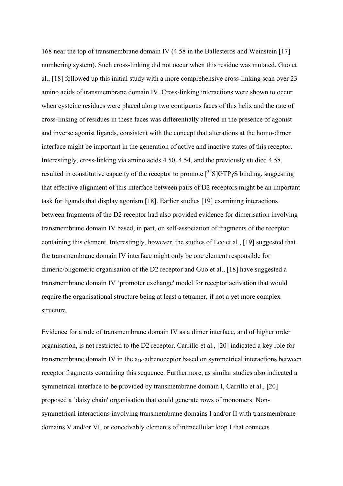168 near the top of transmembrane domain IV (4.58 in the Ballesteros and Weinstein [17] numbering system). Such cross-linking did not occur when this residue was mutated. Guo et al., [18] followed up this initial study with a more comprehensive cross-linking scan over 23 amino acids of transmembrane domain IV. Cross-linking interactions were shown to occur when cysteine residues were placed along two contiguous faces of this helix and the rate of cross-linking of residues in these faces was differentially altered in the presence of agonist and inverse agonist ligands, consistent with the concept that alterations at the homo-dimer interface might be important in the generation of active and inactive states of this receptor. Interestingly, cross-linking via amino acids 4.50, 4.54, and the previously studied 4.58, resulted in constitutive capacity of the receptor to promote  $\int^{35}S\vert GTP\gamma S\rangle$  binding, suggesting that effective alignment of this interface between pairs of D2 receptors might be an important task for ligands that display agonism [18]. Earlier studies [19] examining interactions between fragments of the D2 receptor had also provided evidence for dimerisation involving transmembrane domain IV based, in part, on self-association of fragments of the receptor containing this element. Interestingly, however, the studies of Lee et al., [19] suggested that the transmembrane domain IV interface might only be one element responsible for dimeric/oligomeric organisation of the D2 receptor and Guo et al., [18] have suggested a transmembrane domain IV `promoter exchange' model for receptor activation that would require the organisational structure being at least a tetramer, if not a yet more complex structure.

Evidence for a role of transmembrane domain IV as a dimer interface, and of higher order organisation, is not restricted to the D2 receptor. Carrillo et al., [20] indicated a key role for transmembrane domain IV in the  $a_{1b}$ -adrenoceptor based on symmetrical interactions between receptor fragments containing this sequence. Furthermore, as similar studies also indicated a symmetrical interface to be provided by transmembrane domain I, Carrillo et al., [20] proposed a `daisy chain' organisation that could generate rows of monomers. Nonsymmetrical interactions involving transmembrane domains I and/or II with transmembrane domains V and/or VI, or conceivably elements of intracellular loop I that connects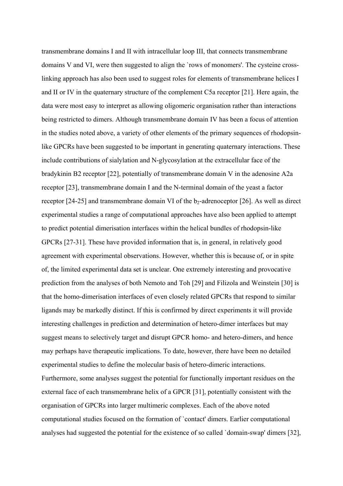transmembrane domains I and II with intracellular loop III, that connects transmembrane domains V and VI, were then suggested to align the `rows of monomers'. The cysteine crosslinking approach has also been used to suggest roles for elements of transmembrane helices I and II or IV in the quaternary structure of the complement C5a receptor [21]. Here again, the data were most easy to interpret as allowing oligomeric organisation rather than interactions being restricted to dimers. Although transmembrane domain IV has been a focus of attention in the studies noted above, a variety of other elements of the primary sequences of rhodopsinlike GPCRs have been suggested to be important in generating quaternary interactions. These include contributions of sialylation and N-glycosylation at the extracellular face of the bradykinin B2 receptor [22], potentially of transmembrane domain V in the adenosine A2a receptor [23], transmembrane domain I and the N-terminal domain of the yeast a factor receptor  $[24-25]$  and transmembrane domain VI of the  $b_2$ -adrenoceptor  $[26]$ . As well as direct experimental studies a range of computational approaches have also been applied to attempt to predict potential dimerisation interfaces within the helical bundles of rhodopsin-like GPCRs [27-31]. These have provided information that is, in general, in relatively good agreement with experimental observations. However, whether this is because of, or in spite of, the limited experimental data set is unclear. One extremely interesting and provocative prediction from the analyses of both Nemoto and Toh [29] and Filizola and Weinstein [30] is that the homo-dimerisation interfaces of even closely related GPCRs that respond to similar ligands may be markedly distinct. If this is confirmed by direct experiments it will provide interesting challenges in prediction and determination of hetero-dimer interfaces but may suggest means to selectively target and disrupt GPCR homo- and hetero-dimers, and hence may perhaps have therapeutic implications. To date, however, there have been no detailed experimental studies to define the molecular basis of hetero-dimeric interactions. Furthermore, some analyses suggest the potential for functionally important residues on the external face of each transmembrane helix of a GPCR [31], potentially consistent with the organisation of GPCRs into larger multimeric complexes. Each of the above noted computational studies focused on the formation of `contact' dimers. Earlier computational analyses had suggested the potential for the existence of so called `domain-swap' dimers [32],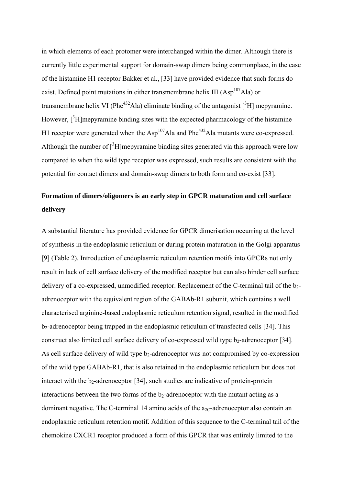in which elements of each protomer were interchanged within the dimer. Although there is currently little experimental support for domain-swap dimers being commonplace, in the case of the histamine H1 receptor Bakker et al., [33] have provided evidence that such forms do exist. Defined point mutations in either transmembrane helix III (Asp<sup>107</sup>Ala) or transmembrane helix VI (Phe<sup>432</sup>Ala) eliminate binding of the antagonist  $\lceil$ <sup>3</sup>H] mepyramine. However,  $\int^3 H$ ]mepyramine binding sites with the expected pharmacology of the histamine H1 receptor were generated when the  $\text{Asp}^{107}\text{Ala}$  and Phe<sup>432</sup>Ala mutants were co-expressed. Although the number of  $[{}^{3}H]$ mepyramine binding sites generated via this approach were low compared to when the wild type receptor was expressed, such results are consistent with the potential for contact dimers and domain-swap dimers to both form and co-exist [33].

# **Formation of dimers/oligomers is an early step in GPCR maturation and cell surface delivery**

A substantial literature has provided evidence for GPCR dimerisation occurring at the level of synthesis in the endoplasmic reticulum or during protein maturation in the Golgi apparatus [9] (Table 2). Introduction of endoplasmic reticulum retention motifs into GPCRs not only result in lack of cell surface delivery of the modified receptor but can also hinder cell surface delivery of a co-expressed, unmodified receptor. Replacement of the C-terminal tail of the b<sub>2</sub>adrenoceptor with the equivalent region of the GABAb-R1 subunit, which contains a well characterised arginine-based endoplasmic reticulum retention signal, resulted in the modified  $b<sub>2</sub>$ -adrenoceptor being trapped in the endoplasmic reticulum of transfected cells [34]. This construct also limited cell surface delivery of co-expressed wild type  $b_2$ -adrenoceptor [34]. As cell surface delivery of wild type  $b_2$ -adrenoceptor was not compromised by co-expression of the wild type GABAb-R1, that is also retained in the endoplasmic reticulum but does not interact with the  $b_2$ -adrenoceptor [34], such studies are indicative of protein-protein interactions between the two forms of the  $b_2$ -adrenoceptor with the mutant acting as a dominant negative. The C-terminal 14 amino acids of the  $a_{2}c$ -adrenoceptor also contain an endoplasmic reticulum retention motif. Addition of this sequence to the C-terminal tail of the chemokine CXCR1 receptor produced a form of this GPCR that was entirely limited to the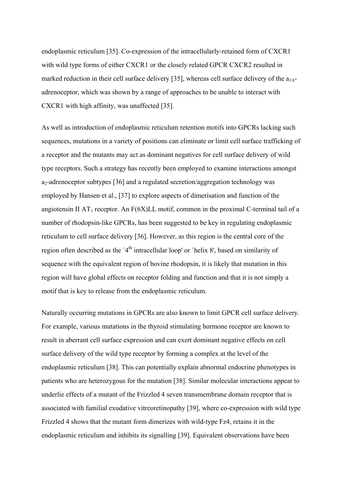endoplasmic reticulum [35]. Co-expression of the intracellularly-retained form of CXCR1 with wild type forms of either CXCR1 or the closely related GPCR CXCR2 resulted in marked reduction in their cell surface delivery [35], whereas cell surface delivery of the  $a_{1A}$ adrenoceptor, which was shown by a range of approaches to be unable to interact with CXCR1 with high affinity, was unaffected [35].

As well as introduction of endoplasmic reticulum retention motifs into GPCRs lacking such sequences, mutations in a variety of positions can eliminate or limit cell surface trafficking of a receptor and the mutants may act as dominant negatives for cell surface delivery of wild type receptors. Such a strategy has recently been employed to examine interactions amongst  $a_2$ -adrenoceptor subtypes [36] and a regulated secretion/aggregation technology was employed by Hansen et al., [37] to explore aspects of dimerisation and function of the angiotensin II AT<sub>1</sub> receptor. An  $F(6X)LL$  motif, common in the proximal C-terminal tail of a number of rhodopsin-like GPCRs, has been suggested to be key in regulating endoplasmic reticulum to cell surface delivery [36]. However, as this region is the central core of the region often described as the  $4<sup>th</sup>$  intracellular loop' or `helix 8', based on similarity of sequence with the equivalent region of bovine rhodopsin, it is likely that mutation in this region will have global effects on receptor folding and function and that it is not simply a motif that is key to release from the endoplasmic reticulum.

Naturally occurring mutations in GPCRs are also known to limit GPCR cell surface delivery. For example, various mutations in the thyroid stimulating hormone receptor are known to result in aberrant cell surface expression and can exert dominant negative effects on cell surface delivery of the wild type receptor by forming a complex at the level of the endoplasmic reticulum [38]. This can potentially explain abnormal endocrine phenotypes in patients who are heterozygous for the mutation [38]. Similar molecular interactions appear to underlie effects of a mutant of the Frizzled 4 seven transmembrane domain receptor that is associated with familial exudative vitreoretinopathy [39], where co-expression with wild type Frizzled 4 shows that the mutant form dimerizes with wild-type Fz4, retains it in the endoplasmic reticulum and inhibits its signalling [39]. Equivalent observations have been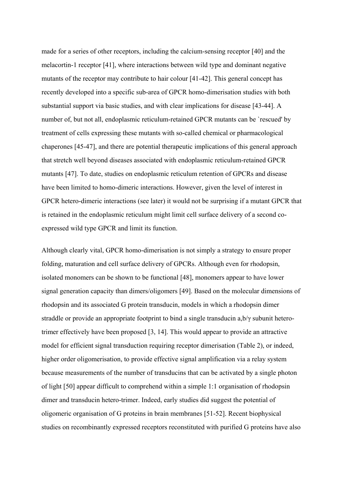made for a series of other receptors, including the calcium-sensing receptor [40] and the melacortin-1 receptor [41], where interactions between wild type and dominant negative mutants of the receptor may contribute to hair colour [41-42]. This general concept has recently developed into a specific sub-area of GPCR homo-dimerisation studies with both substantial support via basic studies, and with clear implications for disease [43-44]. A number of, but not all, endoplasmic reticulum-retained GPCR mutants can be `rescued' by treatment of cells expressing these mutants with so-called chemical or pharmacological chaperones [45-47], and there are potential therapeutic implications of this general approach that stretch well beyond diseases associated with endoplasmic reticulum-retained GPCR mutants [47]. To date, studies on endoplasmic reticulum retention of GPCRs and disease have been limited to homo-dimeric interactions. However, given the level of interest in GPCR hetero-dimeric interactions (see later) it would not be surprising if a mutant GPCR that is retained in the endoplasmic reticulum might limit cell surface delivery of a second coexpressed wild type GPCR and limit its function.

Although clearly vital, GPCR homo-dimerisation is not simply a strategy to ensure proper folding, maturation and cell surface delivery of GPCRs. Although even for rhodopsin, isolated monomers can be shown to be functional [48], monomers appear to have lower signal generation capacity than dimers/oligomers [49]. Based on the molecular dimensions of rhodopsin and its associated G protein transducin, models in which a rhodopsin dimer straddle or provide an appropriate footprint to bind a single transducin a,b/γ subunit heterotrimer effectively have been proposed [3, 14]. This would appear to provide an attractive model for efficient signal transduction requiring receptor dimerisation (Table 2), or indeed, higher order oligomerisation, to provide effective signal amplification via a relay system because measurements of the number of transducins that can be activated by a single photon of light [50] appear difficult to comprehend within a simple 1:1 organisation of rhodopsin dimer and transducin hetero-trimer. Indeed, early studies did suggest the potential of oligomeric organisation of G proteins in brain membranes [51-52]. Recent biophysical studies on recombinantly expressed receptors reconstituted with purified G proteins have also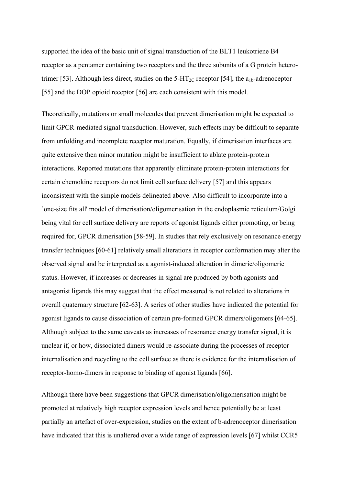supported the idea of the basic unit of signal transduction of the BLT1 leukotriene B4 receptor as a pentamer containing two receptors and the three subunits of a G protein heterotrimer [53]. Although less direct, studies on the 5-HT<sub>2C</sub> receptor [54], the  $a_{1b}$ -adrenoceptor [55] and the DOP opioid receptor [56] are each consistent with this model.

Theoretically, mutations or small molecules that prevent dimerisation might be expected to limit GPCR-mediated signal transduction. However, such effects may be difficult to separate from unfolding and incomplete receptor maturation. Equally, if dimerisation interfaces are quite extensive then minor mutation might be insufficient to ablate protein-protein interactions. Reported mutations that apparently eliminate protein-protein interactions for certain chemokine receptors do not limit cell surface delivery [57] and this appears inconsistent with the simple models delineated above. Also difficult to incorporate into a `one-size fits all' model of dimerisation/oligomerisation in the endoplasmic reticulum/Golgi being vital for cell surface delivery are reports of agonist ligands either promoting, or being required for, GPCR dimerisation [58-59]. In studies that rely exclusively on resonance energy transfer techniques [60-61] relatively small alterations in receptor conformation may alter the observed signal and be interpreted as a agonist-induced alteration in dimeric/oligomeric status. However, if increases or decreases in signal are produced by both agonists and antagonist ligands this may suggest that the effect measured is not related to alterations in overall quaternary structure [62-63]. A series of other studies have indicated the potential for agonist ligands to cause dissociation of certain pre-formed GPCR dimers/oligomers [64-65]. Although subject to the same caveats as increases of resonance energy transfer signal, it is unclear if, or how, dissociated dimers would re-associate during the processes of receptor internalisation and recycling to the cell surface as there is evidence for the internalisation of receptor-homo-dimers in response to binding of agonist ligands [66].

Although there have been suggestions that GPCR dimerisation/oligomerisation might be promoted at relatively high receptor expression levels and hence potentially be at least partially an artefact of over-expression, studies on the extent of b-adrenoceptor dimerisation have indicated that this is unaltered over a wide range of expression levels [67] whilst CCR5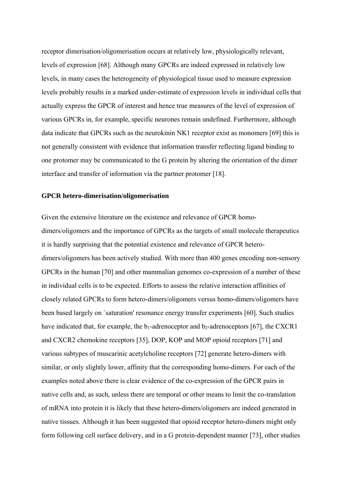receptor dimerisation/oligomerisation occurs at relatively low, physiologically relevant, levels of expression [68]. Although many GPCRs are indeed expressed in relatively low levels, in many cases the heterogeneity of physiological tissue used to measure expression levels probably results in a marked under-estimate of expression levels in individual cells that actually express the GPCR of interest and hence true measures of the level of expression of various GPCRs in, for example, specific neurones remain undefined. Furthermore, although data indicate that GPCRs such as the neurokinin NK1 receptor exist as monomers [69] this is not generally consistent with evidence that information transfer reflecting ligand binding to one protomer may be communicated to the G protein by altering the orientation of the dimer interface and transfer of information via the partner protomer [18].

#### **GPCR hetero-dimerisation/oligomerisation**

Given the extensive literature on the existence and relevance of GPCR homodimers/oligomers and the importance of GPCRs as the targets of small molecule therapeutics it is hardly surprising that the potential existence and relevance of GPCR heterodimers/oligomers has been actively studied. With more than 400 genes encoding non-sensory GPCRs in the human [70] and other mammalian genomes co-expression of a number of these in individual cells is to be expected. Efforts to assess the relative interaction affinities of closely related GPCRs to form hetero-dimers/oligomers versus homo-dimers/oligomers have been based largely on `saturation' resonance energy transfer experiments [60]. Such studies have indicated that, for example, the  $b_1$ -adrenoceptor and  $b_2$ -adrenoceptors [67], the CXCR1 and CXCR2 chemokine receptors [35], DOP, KOP and MOP opioid receptors [71] and various subtypes of muscarinic acetylcholine receptors [72] generate hetero-dimers with similar, or only slightly lower, affinity that the corresponding homo-dimers. For each of the examples noted above there is clear evidence of the co-expression of the GPCR pairs in native cells and, as such, unless there are temporal or other means to limit the co-translation of mRNA into protein it is likely that these hetero-dimers/oligomers are indeed generated in native tissues. Although it has been suggested that opioid receptor hetero-dimers might only form following cell surface delivery, and in a G protein-dependent manner [73], other studies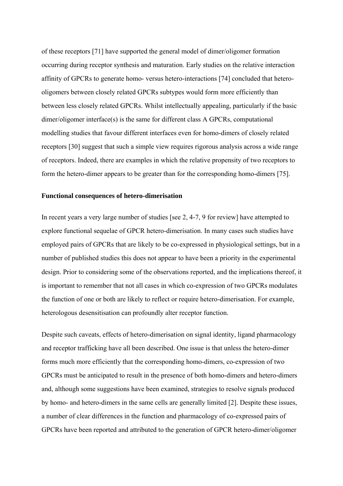of these receptors [71] have supported the general model of dimer/oligomer formation occurring during receptor synthesis and maturation. Early studies on the relative interaction affinity of GPCRs to generate homo- versus hetero-interactions [74] concluded that heterooligomers between closely related GPCRs subtypes would form more efficiently than between less closely related GPCRs. Whilst intellectually appealing, particularly if the basic dimer/oligomer interface(s) is the same for different class A GPCRs, computational modelling studies that favour different interfaces even for homo-dimers of closely related receptors [30] suggest that such a simple view requires rigorous analysis across a wide range of receptors. Indeed, there are examples in which the relative propensity of two receptors to form the hetero-dimer appears to be greater than for the corresponding homo-dimers [75].

#### **Functional consequences of hetero-dimerisation**

In recent years a very large number of studies [see 2, 4-7, 9 for review] have attempted to explore functional sequelae of GPCR hetero-dimerisation. In many cases such studies have employed pairs of GPCRs that are likely to be co-expressed in physiological settings, but in a number of published studies this does not appear to have been a priority in the experimental design. Prior to considering some of the observations reported, and the implications thereof, it is important to remember that not all cases in which co-expression of two GPCRs modulates the function of one or both are likely to reflect or require hetero-dimerisation. For example, heterologous desensitisation can profoundly alter receptor function.

Despite such caveats, effects of hetero-dimerisation on signal identity, ligand pharmacology and receptor trafficking have all been described. One issue is that unless the hetero-dimer forms much more efficiently that the corresponding homo-dimers, co-expression of two GPCRs must be anticipated to result in the presence of both homo-dimers and hetero-dimers and, although some suggestions have been examined, strategies to resolve signals produced by homo- and hetero-dimers in the same cells are generally limited [2]. Despite these issues, a number of clear differences in the function and pharmacology of co-expressed pairs of GPCRs have been reported and attributed to the generation of GPCR hetero-dimer/oligomer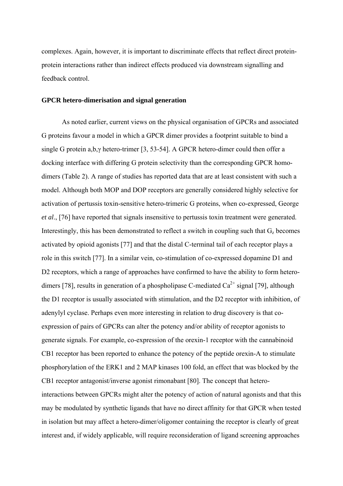complexes. Again, however, it is important to discriminate effects that reflect direct proteinprotein interactions rather than indirect effects produced via downstream signalling and feedback control.

#### **GPCR hetero-dimerisation and signal generation**

As noted earlier, current views on the physical organisation of GPCRs and associated G proteins favour a model in which a GPCR dimer provides a footprint suitable to bind a single G protein a,b,γ hetero-trimer [3, 53-54]. A GPCR hetero-dimer could then offer a docking interface with differing G protein selectivity than the corresponding GPCR homodimers (Table 2). A range of studies has reported data that are at least consistent with such a model. Although both MOP and DOP receptors are generally considered highly selective for activation of pertussis toxin-sensitive hetero-trimeric G proteins, when co-expressed, George *et al*., [76] have reported that signals insensitive to pertussis toxin treatment were generated. Interestingly, this has been demonstrated to reflect a switch in coupling such that  $G<sub>z</sub>$  becomes activated by opioid agonists [77] and that the distal C-terminal tail of each receptor plays a role in this switch [77]. In a similar vein, co-stimulation of co-expressed dopamine D1 and D2 receptors, which a range of approaches have confirmed to have the ability to form heterodimers [78], results in generation of a phospholipase C-mediated  $Ca^{2+}$  signal [79], although the D1 receptor is usually associated with stimulation, and the D2 receptor with inhibition, of adenylyl cyclase. Perhaps even more interesting in relation to drug discovery is that coexpression of pairs of GPCRs can alter the potency and/or ability of receptor agonists to generate signals. For example, co-expression of the orexin-1 receptor with the cannabinoid CB1 receptor has been reported to enhance the potency of the peptide orexin-A to stimulate phosphorylation of the ERK1 and 2 MAP kinases 100 fold, an effect that was blocked by the CB1 receptor antagonist/inverse agonist rimonabant [80]. The concept that heterointeractions between GPCRs might alter the potency of action of natural agonists and that this may be modulated by synthetic ligands that have no direct affinity for that GPCR when tested in isolation but may affect a hetero-dimer/oligomer containing the receptor is clearly of great interest and, if widely applicable, will require reconsideration of ligand screening approaches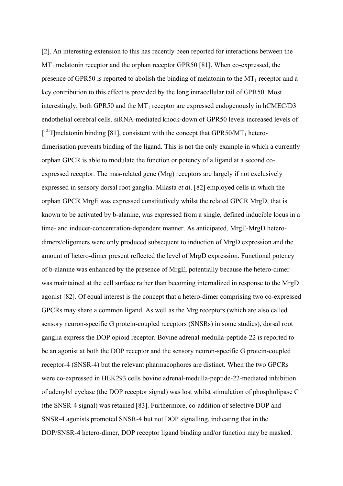[2]. An interesting extension to this has recently been reported for interactions between the  $MT<sub>1</sub>$  melatonin receptor and the orphan receptor GPR50 [81]. When co-expressed, the presence of GPR50 is reported to abolish the binding of melatonin to the  $MT_1$  receptor and a key contribution to this effect is provided by the long intracellular tail of GPR50. Most interestingly, both GPR50 and the  $MT_1$  receptor are expressed endogenously in hCMEC/D3 endothelial cerebral cells. siRNA-mediated knock-down of GPR50 levels increased levels of  $[1^{25}$ I]melatonin binding [81], consistent with the concept that GPR50/MT<sub>1</sub> heterodimerisation prevents binding of the ligand. This is not the only example in which a currently orphan GPCR is able to modulate the function or potency of a ligand at a second coexpressed receptor. The mas-related gene (Mrg) receptors are largely if not exclusively expressed in sensory dorsal root ganglia. Milasta *et al*. [82] employed cells in which the orphan GPCR MrgE was expressed constitutively whilst the related GPCR MrgD, that is known to be activated by b-alanine, was expressed from a single, defined inducible locus in a time- and inducer-concentration-dependent manner. As anticipated, MrgE-MrgD heterodimers/oligomers were only produced subsequent to induction of MrgD expression and the amount of hetero-dimer present reflected the level of MrgD expression. Functional potency of b-alanine was enhanced by the presence of MrgE, potentially because the hetero-dimer was maintained at the cell surface rather than becoming internalized in response to the MrgD agonist [82]. Of equal interest is the concept that a hetero-dimer comprising two co-expressed GPCRs may share a common ligand. As well as the Mrg receptors (which are also called sensory neuron-specific G protein-coupled receptors (SNSRs) in some studies), dorsal root ganglia express the DOP opioid receptor. Bovine adrenal-medulla-peptide-22 is reported to be an agonist at both the DOP receptor and the sensory neuron-specific G protein-coupled receptor-4 (SNSR-4) but the relevant pharmacophores are distinct. When the two GPCRs were co-expressed in HEK293 cells bovine adrenal-medulla-peptide-22-mediated inhibition of adenylyl cyclase (the DOP receptor signal) was lost whilst stimulation of phospholipase C (the SNSR-4 signal) was retained [83]. Furthermore, co-addition of selective DOP and SNSR-4 agonists promoted SNSR-4 but not DOP signalling, indicating that in the DOP/SNSR-4 hetero-dimer, DOP receptor ligand binding and/or function may be masked.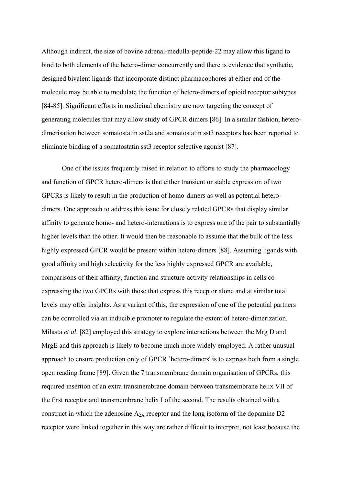Although indirect, the size of bovine adrenal-medulla-peptide-22 may allow this ligand to bind to both elements of the hetero-dimer concurrently and there is evidence that synthetic, designed bivalent ligands that incorporate distinct pharmacophores at either end of the molecule may be able to modulate the function of hetero-dimers of opioid receptor subtypes [84-85]. Significant efforts in medicinal chemistry are now targeting the concept of generating molecules that may allow study of GPCR dimers [86]. In a similar fashion, heterodimerisation between somatostatin sst2a and somatostatin sst3 receptors has been reported to eliminate binding of a somatostatin sst3 receptor selective agonist [87].

One of the issues frequently raised in relation to efforts to study the pharmacology and function of GPCR hetero-dimers is that either transient or stable expression of two GPCRs is likely to result in the production of homo-dimers as well as potential heterodimers. One approach to address this issue for closely related GPCRs that display similar affinity to generate homo- and hetero-interactions is to express one of the pair to substantially higher levels than the other. It would then be reasonable to assume that the bulk of the less highly expressed GPCR would be present within hetero-dimers [88]. Assuming ligands with good affinity and high selectivity for the less highly expressed GPCR are available, comparisons of their affinity, function and structure-activity relationships in cells coexpressing the two GPCRs with those that express this receptor alone and at similar total levels may offer insights. As a variant of this, the expression of one of the potential partners can be controlled via an inducible promoter to regulate the extent of hetero-dimerization. Milasta *et al*. [82] employed this strategy to explore interactions between the Mrg D and MrgE and this approach is likely to become much more widely employed. A rather unusual approach to ensure production only of GPCR `hetero-dimers' is to express both from a single open reading frame [89]. Given the 7 transmembrane domain organisation of GPCRs, this required insertion of an extra transmembrane domain between transmembrane helix VII of the first receptor and transmembrane helix I of the second. The results obtained with a construct in which the adenosine  $A_{2A}$  receptor and the long isoform of the dopamine D2 receptor were linked together in this way are rather difficult to interpret, not least because the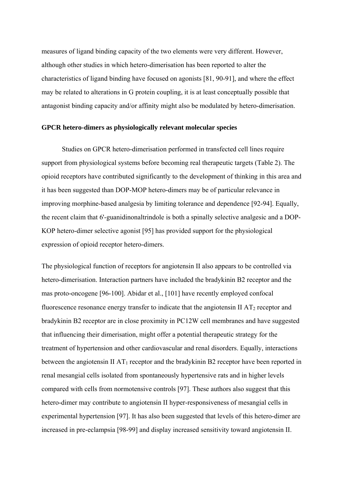measures of ligand binding capacity of the two elements were very different. However, although other studies in which hetero-dimerisation has been reported to alter the characteristics of ligand binding have focused on agonists [81, 90-91], and where the effect may be related to alterations in G protein coupling, it is at least conceptually possible that antagonist binding capacity and/or affinity might also be modulated by hetero-dimerisation.

#### **GPCR hetero-dimers as physiologically relevant molecular species**

Studies on GPCR hetero-dimerisation performed in transfected cell lines require support from physiological systems before becoming real therapeutic targets (Table 2). The opioid receptors have contributed significantly to the development of thinking in this area and it has been suggested than DOP-MOP hetero-dimers may be of particular relevance in improving morphine-based analgesia by limiting tolerance and dependence [92-94]. Equally, the recent claim that 6'-guanidinonaltrindole is both a spinally selective analgesic and a DOP-KOP hetero-dimer selective agonist [95] has provided support for the physiological expression of opioid receptor hetero-dimers.

The physiological function of receptors for angiotensin II also appears to be controlled via hetero-dimerisation. Interaction partners have included the bradykinin B2 receptor and the mas proto-oncogene [96-100]. Abidar et al., [101] have recently employed confocal fluorescence resonance energy transfer to indicate that the angiotensin II  $AT_2$  receptor and bradykinin B2 receptor are in close proximity in PC12W cell membranes and have suggested that influencing their dimerisation, might offer a potential therapeutic strategy for the treatment of hypertension and other cardiovascular and renal disorders. Equally, interactions between the angiotensin II  $AT_1$  receptor and the bradykinin B2 receptor have been reported in renal mesangial cells isolated from spontaneously hypertensive rats and in higher levels compared with cells from normotensive controls [97]. These authors also suggest that this hetero-dimer may contribute to angiotensin II hyper-responsiveness of mesangial cells in experimental hypertension [97]. It has also been suggested that levels of this hetero-dimer are increased in pre-eclampsia [98-99] and display increased sensitivity toward angiotensin II.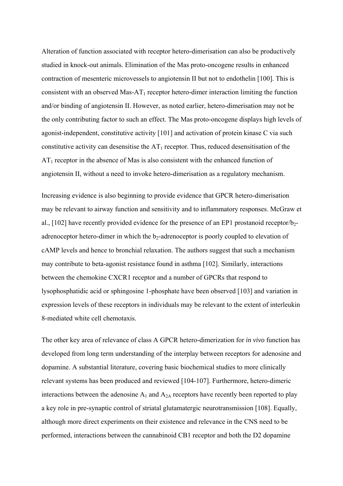Alteration of function associated with receptor hetero-dimerisation can also be productively studied in knock-out animals. Elimination of the Mas proto-oncogene results in enhanced contraction of mesenteric microvessels to angiotensin II but not to endothelin [100]. This is consistent with an observed Mas-AT<sub>1</sub> receptor hetero-dimer interaction limiting the function and/or binding of angiotensin II. However, as noted earlier, hetero-dimerisation may not be the only contributing factor to such an effect. The Mas proto-oncogene displays high levels of agonist-independent, constitutive activity [101] and activation of protein kinase C via such constitutive activity can desensitise the  $AT_1$  receptor. Thus, reduced desensitisation of the  $AT<sub>1</sub>$  receptor in the absence of Mas is also consistent with the enhanced function of angiotensin II, without a need to invoke hetero-dimerisation as a regulatory mechanism.

Increasing evidence is also beginning to provide evidence that GPCR hetero-dimerisation may be relevant to airway function and sensitivity and to inflammatory responses. McGraw et al., [102] have recently provided evidence for the presence of an EP1 prostanoid receptor/b<sub>2</sub>adrenoceptor hetero-dimer in which the  $b_2$ -adrenoceptor is poorly coupled to elevation of cAMP levels and hence to bronchial relaxation. The authors suggest that such a mechanism may contribute to beta-agonist resistance found in asthma [102]. Similarly, interactions between the chemokine CXCR1 receptor and a number of GPCRs that respond to lysophosphatidic acid or sphingosine 1-phosphate have been observed [103] and variation in expression levels of these receptors in individuals may be relevant to the extent of interleukin 8-mediated white cell chemotaxis.

The other key area of relevance of class A GPCR hetero-dimerization for *in vivo* function has developed from long term understanding of the interplay between receptors for adenosine and dopamine. A substantial literature, covering basic biochemical studies to more clinically relevant systems has been produced and reviewed [104-107]. Furthermore, hetero-dimeric interactions between the adenosine  $A_1$  and  $A_{2A}$  receptors have recently been reported to play a key role in pre-synaptic control of striatal glutamatergic neurotransmission [108]. Equally, although more direct experiments on their existence and relevance in the CNS need to be performed, interactions between the cannabinoid CB1 receptor and both the D2 dopamine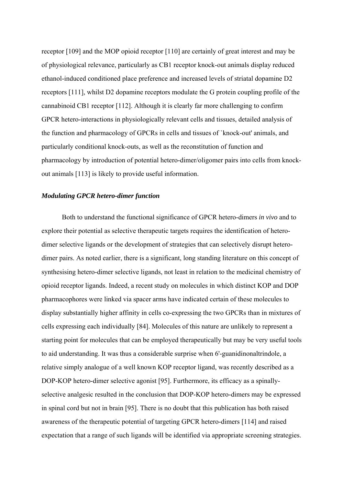receptor [109] and the MOP opioid receptor [110] are certainly of great interest and may be of physiological relevance, particularly as CB1 receptor knock-out animals display reduced ethanol-induced conditioned place preference and increased levels of striatal dopamine D2 receptors [111], whilst D2 dopamine receptors modulate the G protein coupling profile of the cannabinoid CB1 receptor [112]. Although it is clearly far more challenging to confirm GPCR hetero-interactions in physiologically relevant cells and tissues, detailed analysis of the function and pharmacology of GPCRs in cells and tissues of `knock-out' animals, and particularly conditional knock-outs, as well as the reconstitution of function and pharmacology by introduction of potential hetero-dimer/oligomer pairs into cells from knockout animals [113] is likely to provide useful information.

#### *Modulating GPCR hetero-dimer function*

Both to understand the functional significance of GPCR hetero-dimers *in vivo* and to explore their potential as selective therapeutic targets requires the identification of heterodimer selective ligands or the development of strategies that can selectively disrupt heterodimer pairs. As noted earlier, there is a significant, long standing literature on this concept of synthesising hetero-dimer selective ligands, not least in relation to the medicinal chemistry of opioid receptor ligands. Indeed, a recent study on molecules in which distinct KOP and DOP pharmacophores were linked via spacer arms have indicated certain of these molecules to display substantially higher affinity in cells co-expressing the two GPCRs than in mixtures of cells expressing each individually [84]. Molecules of this nature are unlikely to represent a starting point for molecules that can be employed therapeutically but may be very useful tools to aid understanding. It was thus a considerable surprise when 6'-guanidinonaltrindole, a relative simply analogue of a well known KOP receptor ligand, was recently described as a DOP-KOP hetero-dimer selective agonist [95]. Furthermore, its efficacy as a spinallyselective analgesic resulted in the conclusion that DOP-KOP hetero-dimers may be expressed in spinal cord but not in brain [95]. There is no doubt that this publication has both raised awareness of the therapeutic potential of targeting GPCR hetero-dimers [114] and raised expectation that a range of such ligands will be identified via appropriate screening strategies.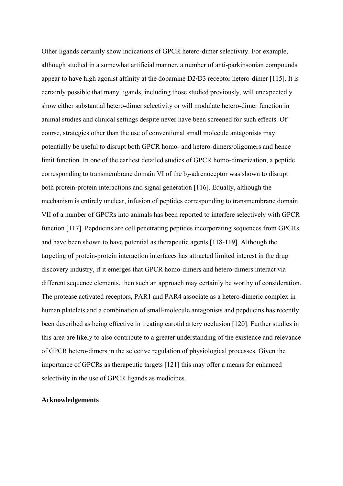Other ligands certainly show indications of GPCR hetero-dimer selectivity. For example, although studied in a somewhat artificial manner, a number of anti-parkinsonian compounds appear to have high agonist affinity at the dopamine D2/D3 receptor hetero-dimer [115]. It is certainly possible that many ligands, including those studied previously, will unexpectedly show either substantial hetero-dimer selectivity or will modulate hetero-dimer function in animal studies and clinical settings despite never have been screened for such effects. Of course, strategies other than the use of conventional small molecule antagonists may potentially be useful to disrupt both GPCR homo- and hetero-dimers/oligomers and hence limit function. In one of the earliest detailed studies of GPCR homo-dimerization, a peptide corresponding to transmembrane domain VI of the  $b_2$ -adrenoceptor was shown to disrupt both protein-protein interactions and signal generation [116]. Equally, although the mechanism is entirely unclear, infusion of peptides corresponding to transmembrane domain VII of a number of GPCRs into animals has been reported to interfere selectively with GPCR function [117]. Pepducins are cell penetrating peptides incorporating sequences from GPCRs and have been shown to have potential as therapeutic agents [118-119]. Although the targeting of protein-protein interaction interfaces has attracted limited interest in the drug discovery industry, if it emerges that GPCR homo-dimers and hetero-dimers interact via different sequence elements, then such an approach may certainly be worthy of consideration. The protease activated receptors, PAR1 and PAR4 associate as a hetero-dimeric complex in human platelets and a combination of small-molecule antagonists and pepducins has recently been described as being effective in treating carotid artery occlusion [120]. Further studies in this area are likely to also contribute to a greater understanding of the existence and relevance of GPCR hetero-dimers in the selective regulation of physiological processes. Given the importance of GPCRs as therapeutic targets [121] this may offer a means for enhanced selectivity in the use of GPCR ligands as medicines.

#### **Acknowledgements**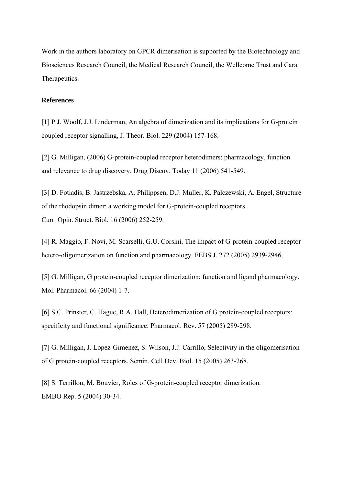Work in the authors laboratory on GPCR dimerisation is supported by the Biotechnology and Biosciences Research Council, the Medical Research Council, the Wellcome Trust and Cara Therapeutics.

#### **References**

[1] P.J. Woolf, J.J. Linderman, An algebra of dimerization and its implications for G-protein coupled receptor signalling, J. Theor. Biol. 229 (2004) 157-168.

[2] G. Milligan, (2006) G-protein-coupled receptor heterodimers: pharmacology, function and relevance to drug discovery. Drug Discov. Today 11 (2006) 541-549.

[3] D. Fotiadis, B. Jastrzebska, A. Philippsen, D.J. Muller, K. Palczewski, A. Engel, Structure of the rhodopsin dimer: a working model for G-protein-coupled receptors. Curr. Opin. Struct. Biol. 16 (2006) 252-259.

[4] R. Maggio, F. Novi, M. Scarselli, G.U. Corsini, The impact of G-protein-coupled receptor hetero-oligomerization on function and pharmacology. FEBS J. 272 (2005) 2939-2946.

[5] G. Milligan, G protein-coupled receptor dimerization: function and ligand pharmacology. Mol. Pharmacol. 66 (2004) 1-7.

[6] S.C. Prinster, C. Hague, R.A. Hall, Heterodimerization of G protein-coupled receptors: specificity and functional significance. Pharmacol. Rev. 57 (2005) 289-298.

[7] G. Milligan, J. Lopez-Gimenez, S. Wilson, J.J. Carrillo, Selectivity in the oligomerisation of G protein-coupled receptors. Semin. Cell Dev. Biol. 15 (2005) 263-268.

[8] S. Terrillon, M. Bouvier, Roles of G-protein-coupled receptor dimerization. EMBO Rep. 5 (2004) 30-34.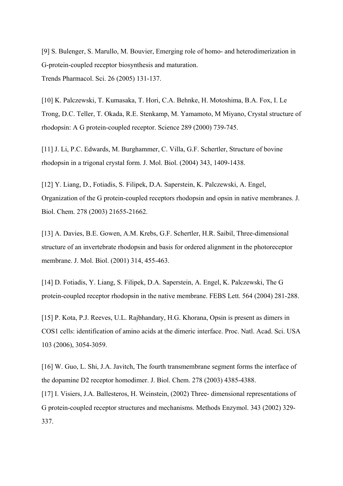[9] S. Bulenger, S. Marullo, M. Bouvier, Emerging role of homo- and heterodimerization in G-protein-coupled receptor biosynthesis and maturation. Trends Pharmacol. Sci. 26 (2005) 131-137.

[10] K. Palczewski, T. Kumasaka, T. Hori, C.A. Behnke, H. Motoshima, B.A. Fox, I. Le Trong, D.C. Teller, T. Okada, R.E. Stenkamp, M. Yamamoto, M Miyano, Crystal structure of rhodopsin: A G protein-coupled receptor. Science 289 (2000) 739-745.

[11] J. Li, P.C. Edwards, M. Burghammer, C. Villa, G.F. Schertler, Structure of bovine rhodopsin in a trigonal crystal form. J. Mol. Biol. (2004) 343, 1409-1438.

[12] Y. Liang, D., Fotiadis, S. Filipek, D.A. Saperstein, K. Palczewski, A. Engel, Organization of the G protein-coupled receptors rhodopsin and opsin in native membranes. J. Biol. Chem. 278 (2003) 21655-21662.

[13] A. Davies, B.E. Gowen, A.M. Krebs, G.F. Schertler, H.R. Saibil, Three-dimensional structure of an invertebrate rhodopsin and basis for ordered alignment in the photoreceptor membrane. J. Mol. Biol. (2001) 314, 455-463.

[14] D. Fotiadis, Y. Liang, S. Filipek, D.A. Saperstein, A. Engel, K. Palczewski, The G protein-coupled receptor rhodopsin in the native membrane. FEBS Lett. 564 (2004) 281-288.

[15] P. Kota, P.J. Reeves, U.L. Rajbhandary, H.G. Khorana, Opsin is present as dimers in COS1 cells: identification of amino acids at the dimeric interface. Proc. Natl. Acad. Sci. USA 103 (2006), 3054-3059.

[16] W. Guo, L. Shi, J.A. Javitch, The fourth transmembrane segment forms the interface of the dopamine D2 receptor homodimer. J. Biol. Chem. 278 (2003) 4385-4388.

[17] I. Visiers, J.A. Ballesteros, H. Weinstein, (2002) Three- dimensional representations of G protein-coupled receptor structures and mechanisms. Methods Enzymol. 343 (2002) 329- 337.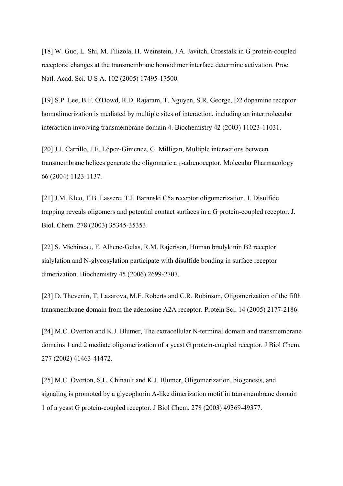[18] W. Guo, L. Shi, M. Filizola, H. Weinstein, J.A. Javitch, Crosstalk in G protein-coupled receptors: changes at the transmembrane homodimer interface determine activation. Proc. Natl. Acad. Sci. U S A. 102 (2005) 17495-17500.

[19] S.P. Lee, B.F. O'Dowd, R.D. Rajaram, T. Nguyen, S.R. George, D2 dopamine receptor homodimerization is mediated by multiple sites of interaction, including an intermolecular interaction involving transmembrane domain 4. Biochemistry 42 (2003) 11023-11031.

[20] J.J. Carrillo, J.F. López-Gimenez, G. Milligan, Multiple interactions between transmembrane helices generate the oligomeric  $a_{1b}$ -adrenoceptor. Molecular Pharmacology 66 (2004) 1123-1137.

[21] J.M. Klco, T.B. Lassere, T.J. Baranski C5a receptor oligomerization. I. Disulfide trapping reveals oligomers and potential contact surfaces in a G protein-coupled receptor. J. Biol. Chem. 278 (2003) 35345-35353.

[22] S. Michineau, F. Alhenc-Gelas, R.M. Rajerison, Human bradykinin B2 receptor sialylation and N-glycosylation participate with disulfide bonding in surface receptor dimerization. Biochemistry 45 (2006) 2699-2707.

[23] D. Thevenin, T. Lazarova, M.F. Roberts and C.R. Robinson, Oligomerization of the fifth transmembrane domain from the adenosine A2A receptor. Protein Sci. 14 (2005) 2177-2186.

[24] M.C. Overton and K.J. Blumer, The extracellular N-terminal domain and transmembrane domains 1 and 2 mediate oligomerization of a yeast G protein-coupled receptor. J Biol Chem. 277 (2002) 41463-41472.

[25] M.C. Overton, S.L. Chinault and K.J. Blumer, Oligomerization, biogenesis, and signaling is promoted by a glycophorin A-like dimerization motif in transmembrane domain 1 of a yeast G protein-coupled receptor. J Biol Chem. 278 (2003) 49369-49377.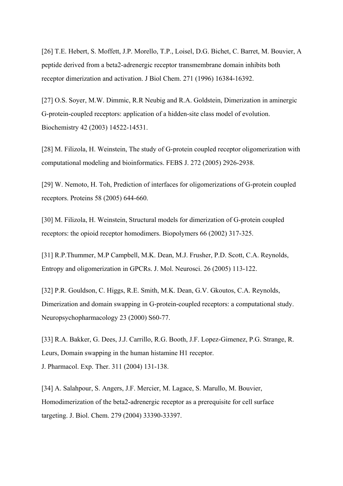[26] T.E. Hebert, S. Moffett, J.P. Morello, T.P., Loisel, D.G. Bichet, C. Barret, M. Bouvier, A peptide derived from a beta2-adrenergic receptor transmembrane domain inhibits both receptor dimerization and activation. J Biol Chem. 271 (1996) 16384-16392.

[27] O.S. Soyer, M.W. Dimmic, R.R Neubig and R.A. Goldstein, Dimerization in aminergic G-protein-coupled receptors: application of a hidden-site class model of evolution. Biochemistry 42 (2003) 14522-14531.

[28] M. Filizola, H. Weinstein, The study of G-protein coupled receptor oligomerization with computational modeling and bioinformatics. FEBS J. 272 (2005) 2926-2938.

[29] W. Nemoto, H. Toh, Prediction of interfaces for oligomerizations of G-protein coupled receptors. Proteins 58 (2005) 644-660.

[30] M. Filizola, H. Weinstein, Structural models for dimerization of G-protein coupled receptors: the opioid receptor homodimers. Biopolymers 66 (2002) 317-325.

[31] R.P.Thummer, M.P Campbell, M.K. Dean, M.J. Frusher, P.D. Scott, C.A. Reynolds, Entropy and oligomerization in GPCRs. J. Mol. Neurosci. 26 (2005) 113-122.

[32] P.R. Gouldson, C. Higgs, R.E. Smith, M.K. Dean, G.V. Gkoutos, C.A. Reynolds, Dimerization and domain swapping in G-protein-coupled receptors: a computational study. Neuropsychopharmacology 23 (2000) S60-77.

[33] R.A. Bakker, G. Dees, J.J. Carrillo, R.G. Booth, J.F. Lopez-Gimenez, P.G. Strange, R. Leurs, Domain swapping in the human histamine H1 receptor. J. Pharmacol. Exp. Ther. 311 (2004) 131-138.

[34] A. Salahpour, S. Angers, J.F. Mercier, M. Lagace, S. Marullo, M. Bouvier, Homodimerization of the beta2-adrenergic receptor as a prerequisite for cell surface targeting. J. Biol. Chem. 279 (2004) 33390-33397.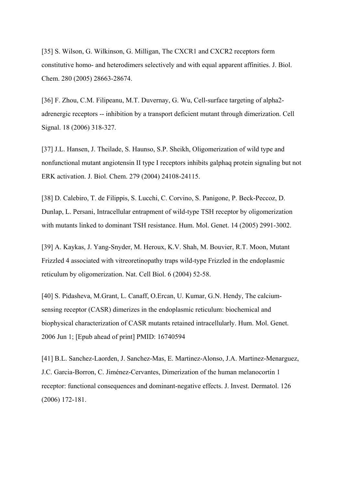[35] S. Wilson, G. Wilkinson, G. Milligan, The CXCR1 and CXCR2 receptors form constitutive homo- and heterodimers selectively and with equal apparent affinities. J. Biol. Chem. 280 (2005) 28663-28674.

[36] F. Zhou, C.M. Filipeanu, M.T. Duvernay, G. Wu, Cell-surface targeting of alpha2 adrenergic receptors -- inhibition by a transport deficient mutant through dimerization. Cell Signal. 18 (2006) 318-327.

[37] J.L. Hansen, J. Theilade, S. Haunso, S.P. Sheikh, Oligomerization of wild type and nonfunctional mutant angiotensin II type I receptors inhibits galphaq protein signaling but not ERK activation. J. Biol. Chem. 279 (2004) 24108-24115.

[38] D. Calebiro, T. de Filippis, S. Lucchi, C. Corvino, S. Panigone, P. Beck-Peccoz, D. Dunlap, L. Persani, Intracellular entrapment of wild-type TSH receptor by oligomerization with mutants linked to dominant TSH resistance. Hum. Mol. Genet. 14 (2005) 2991-3002.

[39] A. Kaykas, J. Yang-Snyder, M. Heroux, K.V. Shah, M. Bouvier, R.T. Moon, Mutant Frizzled 4 associated with vitreoretinopathy traps wild-type Frizzled in the endoplasmic reticulum by oligomerization. Nat. Cell Biol. 6 (2004) 52-58.

[40] S. Pidasheva, M.Grant, L. Canaff, O.Ercan, U. Kumar, G.N. Hendy, The calciumsensing receptor (CASR) dimerizes in the endoplasmic reticulum: biochemical and biophysical characterization of CASR mutants retained intracellularly. Hum. Mol. Genet. 2006 Jun 1; [Epub ahead of print] PMID: 16740594

[41] B.L. Sanchez-Laorden, J. Sanchez-Mas, E. Martinez-Alonso, J.A. Martinez-Menarguez, J.C. Garcia-Borron, C. Jiménez-Cervantes, Dimerization of the human melanocortin 1 receptor: functional consequences and dominant-negative effects. J. Invest. Dermatol. 126 (2006) 172-181.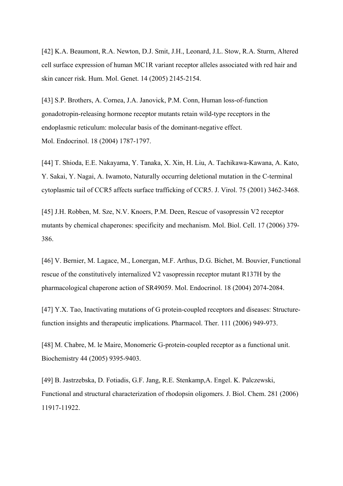[42] K.A. Beaumont, R.A. Newton, D.J. Smit, J.H., Leonard, J.L. Stow, R.A. Sturm, Altered cell surface expression of human MC1R variant receptor alleles associated with red hair and skin cancer risk. Hum. Mol. Genet. 14 (2005) 2145-2154.

[43] S.P. Brothers, A. Cornea, J.A. Janovick, P.M. Conn, Human loss-of-function gonadotropin-releasing hormone receptor mutants retain wild-type receptors in the endoplasmic reticulum: molecular basis of the dominant-negative effect. Mol. Endocrinol. 18 (2004) 1787-1797.

[44] T. Shioda, E.E. Nakayama, Y. Tanaka, X. Xin, H. Liu, A. Tachikawa-Kawana, A. Kato, Y. Sakai, Y. Nagai, A. Iwamoto, Naturally occurring deletional mutation in the C-terminal cytoplasmic tail of CCR5 affects surface trafficking of CCR5. J. Virol. 75 (2001) 3462-3468.

[45] J.H. Robben, M. Sze, N.V. Knoers, P.M. Deen, Rescue of vasopressin V2 receptor mutants by chemical chaperones: specificity and mechanism. Mol. Biol. Cell. 17 (2006) 379- 386.

[46] V. Bernier, M. Lagace, M., Lonergan, M.F. Arthus, D.G. Bichet, M. Bouvier, Functional rescue of the constitutively internalized V2 vasopressin receptor mutant R137H by the pharmacological chaperone action of SR49059. Mol. Endocrinol. 18 (2004) 2074-2084.

[47] Y.X. Tao, Inactivating mutations of G protein-coupled receptors and diseases: Structurefunction insights and therapeutic implications. Pharmacol. Ther. 111 (2006) 949-973.

[48] M. Chabre, M. le Maire, Monomeric G-protein-coupled receptor as a functional unit. Biochemistry 44 (2005) 9395-9403.

[49] B. Jastrzebska, D. Fotiadis, G.F. Jang, R.E. Stenkamp,A. Engel. K. Palczewski, Functional and structural characterization of rhodopsin oligomers. J. Biol. Chem. 281 (2006) 11917-11922.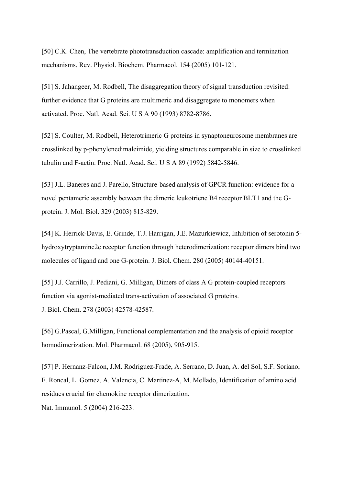[50] C.K. Chen, The vertebrate phototransduction cascade: amplification and termination mechanisms. Rev. Physiol. Biochem. Pharmacol. 154 (2005) 101-121.

[51] S. Jahangeer, M. Rodbell, The disaggregation theory of signal transduction revisited: further evidence that G proteins are multimeric and disaggregate to monomers when activated. Proc. Natl. Acad. Sci. U S A 90 (1993) 8782-8786.

[52] S. Coulter, M. Rodbell, Heterotrimeric G proteins in synaptoneurosome membranes are crosslinked by p-phenylenedimaleimide, yielding structures comparable in size to crosslinked tubulin and F-actin. Proc. Natl. Acad. Sci. U S A 89 (1992) 5842-5846.

[53] J.L. Baneres and J. Parello, Structure-based analysis of GPCR function: evidence for a novel pentameric assembly between the dimeric leukotriene B4 receptor BLT1 and the Gprotein. J. Mol. Biol. 329 (2003) 815-829.

[54] K. Herrick-Davis, E. Grinde, T.J. Harrigan, J.E. Mazurkiewicz, Inhibition of serotonin 5 hydroxytryptamine2c receptor function through heterodimerization: receptor dimers bind two molecules of ligand and one G-protein. J. Biol. Chem. 280 (2005) 40144-40151.

[55] J.J. Carrillo, J. Pediani, G. Milligan, Dimers of class A G protein-coupled receptors function via agonist-mediated trans-activation of associated G proteins. J. Biol. Chem. 278 (2003) 42578-42587.

[56] G.Pascal, G.Milligan, Functional complementation and the analysis of opioid receptor homodimerization. Mol. Pharmacol. 68 (2005), 905-915.

[57] P. Hernanz-Falcon, J.M. Rodriguez-Frade, A. Serrano, D. Juan, A. del Sol, S.F. Soriano, F. Roncal, L. Gomez, A. Valencia, C. Martinez-A, M. Mellado, Identification of amino acid residues crucial for chemokine receptor dimerization. Nat. Immunol. 5 (2004) 216-223.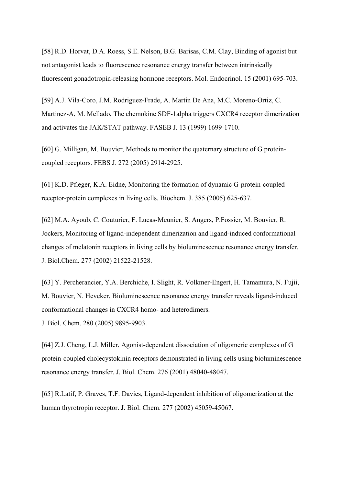[58] R.D. Horvat, D.A. Roess, S.E. Nelson, B.G. Barisas, C.M. Clay, Binding of agonist but not antagonist leads to fluorescence resonance energy transfer between intrinsically fluorescent gonadotropin-releasing hormone receptors. Mol. Endocrinol. 15 (2001) 695-703.

[59] A.J. Vila-Coro, J.M. Rodriguez-Frade, A. Martin De Ana, M.C. Moreno-Ortiz, C. Martinez-A, M. Mellado, The chemokine SDF-1alpha triggers CXCR4 receptor dimerization and activates the JAK/STAT pathway. FASEB J. 13 (1999) 1699-1710.

[60] G. Milligan, M. Bouvier, Methods to monitor the quaternary structure of G proteincoupled receptors. FEBS J. 272 (2005) 2914-2925.

[61] K.D. Pfleger, K.A. Eidne, Monitoring the formation of dynamic G-protein-coupled receptor-protein complexes in living cells. Biochem. J. 385 (2005) 625-637.

[62] M.A. Ayoub, C. Couturier, F. Lucas-Meunier, S. Angers, P.Fossier, M. Bouvier, R. Jockers, Monitoring of ligand-independent dimerization and ligand-induced conformational changes of melatonin receptors in living cells by bioluminescence resonance energy transfer. J. Biol.Chem. 277 (2002) 21522-21528.

[63] Y. Percherancier, Y.A. Berchiche, I. Slight, R. Volkmer-Engert, H. Tamamura, N. Fujii, M. Bouvier, N. Heveker, Bioluminescence resonance energy transfer reveals ligand-induced conformational changes in CXCR4 homo- and heterodimers. J. Biol. Chem. 280 (2005) 9895-9903.

[64] Z.J. Cheng, L.J. Miller, Agonist-dependent dissociation of oligomeric complexes of G protein-coupled cholecystokinin receptors demonstrated in living cells using bioluminescence

resonance energy transfer. J. Biol. Chem. 276 (2001) 48040-48047.

[65] R.Latif, P. Graves, T.F. Davies, Ligand-dependent inhibition of oligomerization at the human thyrotropin receptor. J. Biol. Chem. 277 (2002) 45059-45067.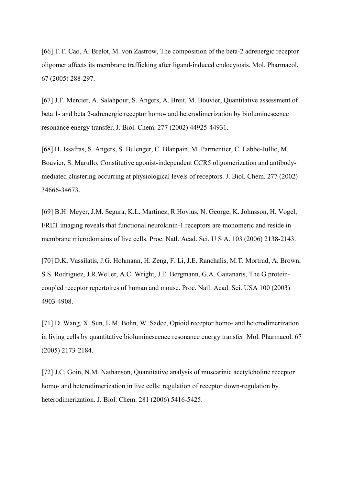[66] T.T. Cao, A. Brelot, M. von Zastrow, The composition of the beta-2 adrenergic receptor oligomer affects its membrane trafficking after ligand-induced endocytosis. Mol. Pharmacol. 67 (2005) 288-297.

[67] J.F. Mercier, A. Salahpour, S. Angers, A. Breit, M. Bouvier, Quantitative assessment of beta 1- and beta 2-adrenergic receptor homo- and heterodimerization by bioluminescence resonance energy transfer. J. Biol. Chem. 277 (2002) 44925-44931.

[68] H. Issafras, S. Angers, S. Bulenger, C. Blanpain, M. Parmentier, C. Labbe-Jullie, M. Bouvier, S. Marullo, Constitutive agonist-independent CCR5 oligomerization and antibodymediated clustering occurring at physiological levels of receptors. J. Biol. Chem. 277 (2002) 34666-34673.

[69] B.H. Meyer, J.M. Segura, K.L. Martinez, R.Hovius, N. George, K. Johnsson, H. Vogel, FRET imaging reveals that functional neurokinin-1 receptors are monomeric and reside in membrane microdomains of live cells. Proc. Natl. Acad. Sci. U S A. 103 (2006) 2138-2143.

[70] D.K. Vassilatis, J.G. Hohmann, H. Zeng, F. Li, J.E. Ranchalis, M.T. Mortrud, A. Brown, S.S. Rodriguez, J.R.Weller, A.C. Wright, J.E. Bergmann, G.A. Gaitanaris, The G proteincoupled receptor repertoires of human and mouse. Proc. Natl. Acad. Sci. USA 100 (2003) 4903-4908.

[71] D. Wang, X. Sun, L.M. Bohn, W. Sadee, Opioid receptor homo- and heterodimerization in living cells by quantitative bioluminescence resonance energy transfer. Mol. Pharmacol. 67 (2005) 2173-2184.

[72] J.C. Goin, N.M. Nathanson, Quantitative analysis of muscarinic acetylcholine receptor homo- and heterodimerization in live cells: regulation of receptor down-regulation by heterodimerization. J. Biol. Chem. 281 (2006) 5416-5425.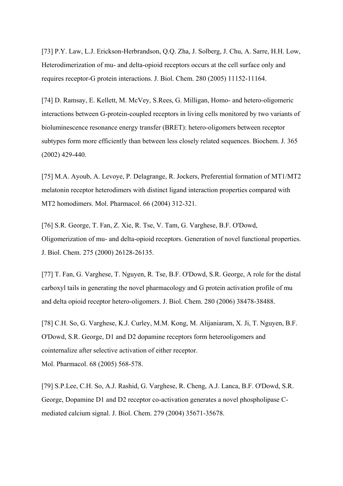[73] P.Y. Law, L.J. Erickson-Herbrandson, Q.Q. Zha, J. Solberg, J. Chu, A. Sarre, H.H. Low, Heterodimerization of mu- and delta-opioid receptors occurs at the cell surface only and requires receptor-G protein interactions. J. Biol. Chem. 280 (2005) 11152-11164.

[74] D. Ramsay, E. Kellett, M. McVey, S.Rees, G. Milligan, Homo- and hetero-oligomeric interactions between G-protein-coupled receptors in living cells monitored by two variants of bioluminescence resonance energy transfer (BRET): hetero-oligomers between receptor subtypes form more efficiently than between less closely related sequences. Biochem. J. 365 (2002) 429-440.

[75] M.A. Ayoub, A. Levoye, P. Delagrange, R. Jockers, Preferential formation of MT1/MT2 melatonin receptor heterodimers with distinct ligand interaction properties compared with MT2 homodimers. Mol. Pharmacol. 66 (2004) 312-321.

[76] S.R. George, T. Fan, Z. Xie, R. Tse, V. Tam, G. Varghese, B.F. O'Dowd, Oligomerization of mu- and delta-opioid receptors. Generation of novel functional properties. J. Biol. Chem. 275 (2000) 26128-26135.

[77] T. Fan, G. Varghese, T. Nguyen, R. Tse, B.F. O'Dowd, S.R. George, A role for the distal carboxyl tails in generating the novel pharmacology and G protein activation profile of mu and delta opioid receptor hetero-oligomers. J. Biol. Chem. 280 (2006) 38478-38488.

[78] C.H. So, G. Varghese, K.J. Curley, M.M. Kong, M. Alijaniaram, X. Ji, T. Nguyen, B.F. O'Dowd, S.R. George, D1 and D2 dopamine receptors form heterooligomers and cointernalize after selective activation of either receptor. Mol. Pharmacol. 68 (2005) 568-578.

[79] S.P.Lee, C.H. So, A.J. Rashid, G. Varghese, R. Cheng, A.J. Lanca, B.F. O'Dowd, S.R. George, Dopamine D1 and D2 receptor co-activation generates a novel phospholipase Cmediated calcium signal. J. Biol. Chem. 279 (2004) 35671-35678.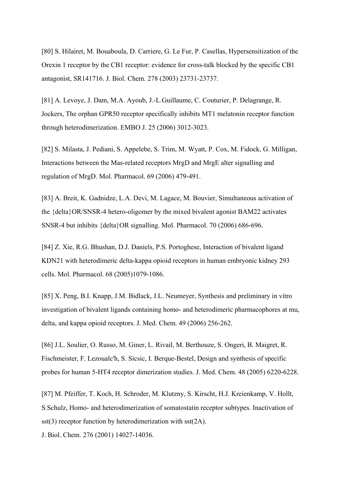[80] S. Hilairet, M. Bouaboula, D. Carriere, G. Le Fur, P. Casellas, Hypersensitization of the Orexin 1 receptor by the CB1 receptor: evidence for cross-talk blocked by the specific CB1 antagonist, SR141716. J. Biol. Chem. 278 (2003) 23731-23737.

[81] A. Levoye, J. Dam, M.A. Ayoub, J.-L.Guillaume, C. Couturier, P. Delagrange, R. Jockers, The orphan GPR50 receptor specifically inhibits MT1 melatonin receptor function through heterodimerization. EMBO J. 25 (2006) 3012-3023.

[82] S. Milasta, J. Pediani, S. Appelebe, S. Trim, M. Wyatt, P. Cox, M. Fidock, G. Milligan, Interactions between the Mas-related receptors MrgD and MrgE alter signalling and regulation of MrgD. Mol. Pharmacol. 69 (2006) 479-491.

[83] A. Breit, K. Gadnidze, L.A. Devi, M. Lagace, M. Bouvier, Simultaneous activation of the {delta}OR/SNSR-4 hetero-oligomer by the mixed bivalent agonist BAM22 activates SNSR-4 but inhibits {delta}OR signalling. Mol. Pharmacol. 70 (2006) 686-696.

[84] Z. Xie, R.G. Bhushan, D.J. Daniels, P.S. Portoghese, Interaction of bivalent ligand KDN21 with heterodimeric delta-kappa opioid receptors in human embryonic kidney 293 cells. Mol. Pharmacol. 68 (2005)1079-1086.

[85] X. Peng, B.I. Knapp, J.M. Bidlack, J.L. Neumeyer, Synthesis and preliminary in vitro investigation of bivalent ligands containing homo- and heterodimeric pharmacophores at mu, delta, and kappa opioid receptors. J. Med. Chem. 49 (2006) 256-262.

[86] J.L. Soulier, O. Russo, M. Giner, L. Rivail, M. Berthouze, S. Ongeri, B. Maigret, R. Fischmeister, F. Lezoualc'h, S. Sicsic, I. Berque-Bestel, Design and synthesis of specific probes for human 5-HT4 receptor dimerization studies. J. Med. Chem. 48 (2005) 6220-6228.

[87] M. Pfeiffer, T. Koch, H. Schroder, M. Klutzny, S. Kirscht, H.J. Kreienkamp, V. Hollt, S.Schulz, Homo- and heterodimerization of somatostatin receptor subtypes. Inactivation of sst(3) receptor function by heterodimerization with sst(2A).

J. Biol. Chem. 276 (2001) 14027-14036.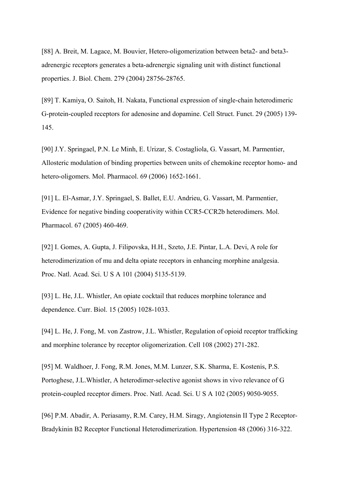[88] A. Breit, M. Lagace, M. Bouvier, Hetero-oligomerization between beta2- and beta3 adrenergic receptors generates a beta-adrenergic signaling unit with distinct functional properties. J. Biol. Chem. 279 (2004) 28756-28765.

[89] T. Kamiya, O. Saitoh, H. Nakata, Functional expression of single-chain heterodimeric G-protein-coupled receptors for adenosine and dopamine. Cell Struct. Funct. 29 (2005) 139- 145.

[90] J.Y. Springael, P.N. Le Minh, E. Urizar, S. Costagliola, G. Vassart, M. Parmentier, Allosteric modulation of binding properties between units of chemokine receptor homo- and hetero-oligomers. Mol. Pharmacol. 69 (2006) 1652-1661.

[91] L. El-Asmar, J.Y. Springael, S. Ballet, E.U. Andrieu, G. Vassart, M. Parmentier, Evidence for negative binding cooperativity within CCR5-CCR2b heterodimers. Mol. Pharmacol. 67 (2005) 460-469.

[92] I. Gomes, A. Gupta, J. Filipovska, H.H., Szeto, J.E. Pintar, L.A. Devi, A role for heterodimerization of mu and delta opiate receptors in enhancing morphine analgesia. Proc. Natl. Acad. Sci. U S A 101 (2004) 5135-5139.

[93] L. He, J.L. Whistler, An opiate cocktail that reduces morphine tolerance and dependence. Curr. Biol. 15 (2005) 1028-1033.

[94] L. He, J. Fong, M. von Zastrow, J.L. Whistler, Regulation of opioid receptor trafficking and morphine tolerance by receptor oligomerization. Cell 108 (2002) 271-282.

[95] M. Waldhoer, J. Fong, R.M. Jones, M.M. Lunzer, S.K. Sharma, E. Kostenis, P.S. Portoghese, J.L.Whistler, A heterodimer-selective agonist shows in vivo relevance of G protein-coupled receptor dimers. Proc. Natl. Acad. Sci. U S A 102 (2005) 9050-9055.

[96] P.M. Abadir, A. Periasamy, R.M. Carey, H.M. Siragy, Angiotensin II Type 2 Receptor-Bradykinin B2 Receptor Functional Heterodimerization. Hypertension 48 (2006) 316-322.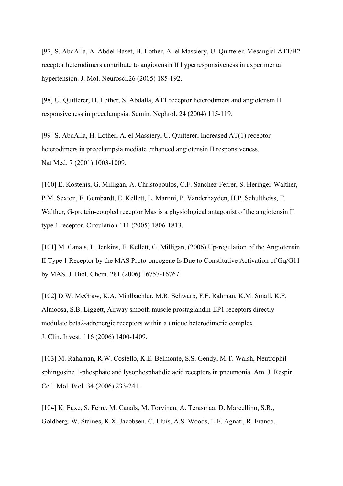[97] S. AbdAlla, A. Abdel-Baset, H. Lother, A. el Massiery, U. Quitterer, Mesangial AT1/B2 receptor heterodimers contribute to angiotensin II hyperresponsiveness in experimental hypertension. J. Mol. Neurosci.26 (2005) 185-192.

[98] U. Quitterer, H. Lother, S. Abdalla, AT1 receptor heterodimers and angiotensin II responsiveness in preeclampsia. Semin. Nephrol. 24 (2004) 115-119.

[99] S. AbdAlla, H. Lother, A. el Massiery, U. Quitterer, Increased AT(1) receptor heterodimers in preeclampsia mediate enhanced angiotensin II responsiveness. Nat Med. 7 (2001) 1003-1009.

[100] E. Kostenis, G. Milligan, A. Christopoulos, C.F. Sanchez-Ferrer, S. Heringer-Walther, P.M. Sexton, F. Gembardt, E. Kellett, L. Martini, P. Vanderhayden, H.P. Schultheiss, T. Walther, G-protein-coupled receptor Mas is a physiological antagonist of the angiotensin II type 1 receptor. Circulation 111 (2005) 1806-1813.

[101] M. Canals, L. Jenkins, E. Kellett, G. Milligan, (2006) Up-regulation of the Angiotensin II Type 1 Receptor by the MAS Proto-oncogene Is Due to Constitutive Activation of Gq/G11 by MAS. J. Biol. Chem. 281 (2006) 16757-16767.

[102] D.W. McGraw, K.A. Mihlbachler, M.R. Schwarb, F.F. Rahman, K.M. Small, K.F. Almoosa, S.B. Liggett, Airway smooth muscle prostaglandin-EP1 receptors directly modulate beta2-adrenergic receptors within a unique heterodimeric complex. J. Clin. Invest. 116 (2006) 1400-1409.

[103] M. Rahaman, R.W. Costello, K.E. Belmonte, S.S. Gendy, M.T. Walsh, Neutrophil sphingosine 1-phosphate and lysophosphatidic acid receptors in pneumonia. Am. J. Respir. Cell. Mol. Biol. 34 (2006) 233-241.

[104] K. Fuxe, S. Ferre, M. Canals, M. Torvinen, A. Terasmaa, D. Marcellino, S.R., Goldberg, W. Staines, K.X. Jacobsen, C. Lluis, A.S. Woods, L.F. Agnati, R. Franco,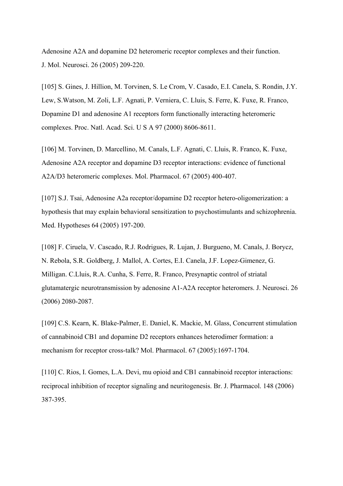Adenosine A2A and dopamine D2 heteromeric receptor complexes and their function. J. Mol. Neurosci. 26 (2005) 209-220.

[105] S. Gines, J. Hillion, M. Torvinen, S. Le Crom, V. Casado, E.I. Canela, S. Rondin, J.Y. Lew, S.Watson, M. Zoli, L.F. Agnati, P. Verniera, C. Lluis, S. Ferre, K. Fuxe, R. Franco, Dopamine D1 and adenosine A1 receptors form functionally interacting heteromeric complexes. Proc. Natl. Acad. Sci. U S A 97 (2000) 8606-8611.

[106] M. Torvinen, D. Marcellino, M. Canals, L.F. Agnati, C. Lluis, R. Franco, K. Fuxe, Adenosine A2A receptor and dopamine D3 receptor interactions: evidence of functional A2A/D3 heteromeric complexes. Mol. Pharmacol. 67 (2005) 400-407.

[107] S.J. Tsai, Adenosine A2a receptor/dopamine D2 receptor hetero-oligomerization: a hypothesis that may explain behavioral sensitization to psychostimulants and schizophrenia. Med. Hypotheses 64 (2005) 197-200.

[108] F. Ciruela, V. Cascado, R.J. Rodrigues, R. Lujan, J. Burgueno, M. Canals, J. Borycz, N. Rebola, S.R. Goldberg, J. Mallol, A. Cortes, E.I. Canela, J.F. Lopez-Gimenez, G. Milligan. C.Lluis, R.A. Cunha, S. Ferre, R. Franco, Presynaptic control of striatal glutamatergic neurotransmission by adenosine A1-A2A receptor heteromers. J. Neurosci. 26 (2006) 2080-2087.

[109] C.S. Kearn, K. Blake-Palmer, E. Daniel, K. Mackie, M. Glass, Concurrent stimulation of cannabinoid CB1 and dopamine D2 receptors enhances heterodimer formation: a mechanism for receptor cross-talk? Mol. Pharmacol. 67 (2005):1697-1704.

[110] C. Rios, I. Gomes, L.A. Devi, mu opioid and CB1 cannabinoid receptor interactions: reciprocal inhibition of receptor signaling and neuritogenesis. Br. J. Pharmacol. 148 (2006) 387-395.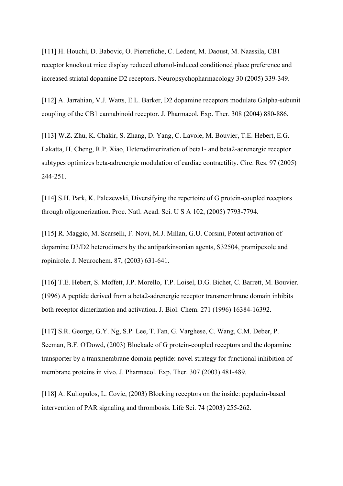[111] H. Houchi, D. Babovic, O. Pierrefiche, C. Ledent, M. Daoust, M. Naassila, CB1 receptor knockout mice display reduced ethanol-induced conditioned place preference and increased striatal dopamine D2 receptors. Neuropsychopharmacology 30 (2005) 339-349.

[112] A. Jarrahian, V.J. Watts, E.L. Barker, D2 dopamine receptors modulate Galpha-subunit coupling of the CB1 cannabinoid receptor. J. Pharmacol. Exp. Ther. 308 (2004) 880-886.

[113] W.Z. Zhu, K. Chakir, S. Zhang, D. Yang, C. Lavoie, M. Bouvier, T.E. Hebert, E.G. Lakatta, H. Cheng, R.P. Xiao, Heterodimerization of beta1- and beta2-adrenergic receptor subtypes optimizes beta-adrenergic modulation of cardiac contractility. Circ. Res. 97 (2005) 244-251.

[114] S.H. Park, K. Palczewski, Diversifying the repertoire of G protein-coupled receptors through oligomerization. Proc. Natl. Acad. Sci. U S A 102, (2005) 7793-7794.

[115] R. Maggio, M. Scarselli, F. Novi, M.J. Millan, G.U. Corsini, Potent activation of dopamine D3/D2 heterodimers by the antiparkinsonian agents, S32504, pramipexole and ropinirole. J. Neurochem. 87, (2003) 631-641.

[116] T.E. Hebert, S. Moffett, J.P. Morello, T.P. Loisel, D.G. Bichet, C. Barrett, M. Bouvier. (1996) A peptide derived from a beta2-adrenergic receptor transmembrane domain inhibits both receptor dimerization and activation. J. Biol. Chem. 271 (1996) 16384-16392.

[117] S.R. George, G.Y. Ng, S.P. Lee, T. Fan, G. Varghese, C. Wang, C.M. Deber, P. Seeman, B.F. O'Dowd, (2003) Blockade of G protein-coupled receptors and the dopamine transporter by a transmembrane domain peptide: novel strategy for functional inhibition of membrane proteins in vivo. J. Pharmacol. Exp. Ther. 307 (2003) 481-489.

[118] A. Kuliopulos, L. Covic, (2003) Blocking receptors on the inside: pepducin-based intervention of PAR signaling and thrombosis. Life Sci. 74 (2003) 255-262.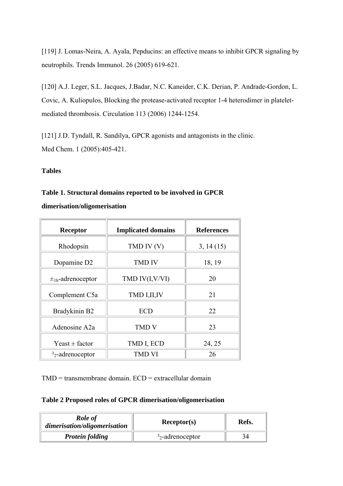[119] J. Lomas-Neira, A. Ayala, Pepducins: an effective means to inhibit GPCR signaling by neutrophils. Trends Immunol. 26 (2005) 619-621.

[120] A.J. Leger, S.L. Jacques, J.Badar, N.C. Kaneider, C.K. Derian, P. Andrade-Gordon, L. Covic, A. Kuliopulos, Blocking the protease-activated receptor 1-4 heterodimer in plateletmediated thrombosis. Circulation 113 (2006) 1244-1254.

[121] J.D. Tyndall, R. Sandilya, GPCR agonists and antagonists in the clinic. Med Chem. 1 (2005):405-421.

## **Tables**

## **Table 1. Structural domains reported to be involved in GPCR**

**dimerisation/oligomerisation**

| Receptor                          | <b>Implicated domains</b> | <b>References</b> |
|-----------------------------------|---------------------------|-------------------|
| Rhodopsin                         | TMD IV (V)                | 3, 14(15)         |
| Dopamine D <sub>2</sub>           | <b>TMD IV</b>             | 18, 19            |
| $\pm$ <sub>1b</sub> -adrenoceptor | TMD IV(I,V/VI)            | 20                |
| Complement C5a                    | TMD I, II, IV             | 21                |
| Bradykinin B2                     | <b>ECD</b>                | 22                |
| Adenosine A2a                     | <b>TMD V</b>              | 23                |
| Yeast $\pm$ factor                | TMD I, ECD                | 24, 25            |
| $22$ -adrenoceptor                | <b>TMD VI</b>             | 26                |

TMD = transmembrane domain. ECD = extracellular domain

## **Table 2 Proposed roles of GPCR dimerisation/oligomerisation**

| Role of<br>dimerisation/oligomerisation | Receptor(s)        | Refs. |
|-----------------------------------------|--------------------|-------|
| <b>Protein folding</b>                  | $22$ -adrenoceptor |       |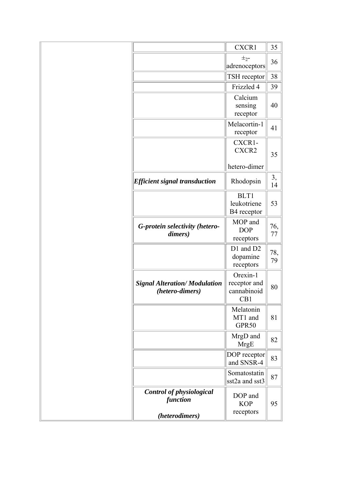|                                                         | <b>CXCR1</b>                                   | 35        |
|---------------------------------------------------------|------------------------------------------------|-----------|
|                                                         | $\pm_{2}$ -<br>adrenoceptors                   | 36        |
|                                                         | TSH receptor                                   | 38        |
|                                                         | Frizzled 4                                     | 39        |
|                                                         | Calcium<br>sensing<br>receptor                 | 40        |
|                                                         | Melacortin-1<br>receptor                       | 41        |
|                                                         | CXCR1-<br>CXCR2                                | 35        |
|                                                         | hetero-dimer                                   |           |
| <b>Efficient signal transduction</b>                    | Rhodopsin                                      | 3,<br>14  |
|                                                         | BLT1<br>leukotriene<br>B4 receptor             | 53        |
| G-protein selectivity (hetero-<br>dimers)               | MOP and<br><b>DOP</b><br>receptors             | 76,<br>77 |
|                                                         | D1 and D2<br>dopamine<br>receptors             | 78,<br>79 |
| <b>Signal Alteration/ Modulation</b><br>(hetero-dimers) | Orexin-1<br>receptor and<br>cannabinoid<br>CB1 | 80        |
|                                                         | Melatonin<br>MT1 and<br>GPR50                  | 81        |
|                                                         | MrgD and<br><b>MrgE</b>                        | 82        |
|                                                         | DOP receptor<br>and SNSR-4                     | 83        |
|                                                         | Somatostatin<br>sst2a and sst3                 | 87        |
| Control of physiological<br>function<br>(heterodimers)  | DOP and<br><b>KOP</b><br>receptors             | 95        |